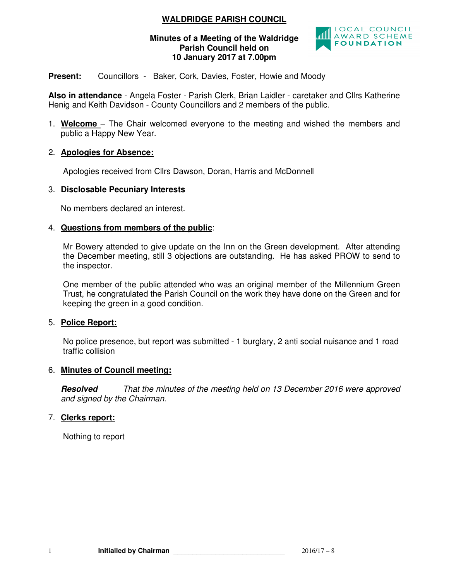# **WALDRIDGE PARISH COUNCIL**

#### **Minutes of a Meeting of the Waldridge Parish Council held on 10 January 2017 at 7.00pm**



## **Present:** Councillors - Baker, Cork, Davies, Foster, Howie and Moody

**Also in attendance** - Angela Foster - Parish Clerk, Brian Laidler - caretaker and Cllrs Katherine Henig and Keith Davidson - County Councillors and 2 members of the public.

1. **Welcome** – The Chair welcomed everyone to the meeting and wished the members and public a Happy New Year.

## 2. **Apologies for Absence:**

Apologies received from Cllrs Dawson, Doran, Harris and McDonnell

#### 3. **Disclosable Pecuniary Interests**

No members declared an interest.

#### 4. **Questions from members of the public**:

Mr Bowery attended to give update on the Inn on the Green development. After attending the December meeting, still 3 objections are outstanding. He has asked PROW to send to the inspector.

One member of the public attended who was an original member of the Millennium Green Trust, he congratulated the Parish Council on the work they have done on the Green and for keeping the green in a good condition.

#### 5. **Police Report:**

No police presence, but report was submitted - 1 burglary, 2 anti social nuisance and 1 road traffic collision

#### 6. **Minutes of Council meeting:**

**Resolved** *That the minutes of the meeting held on 13 December 2016 were approved and signed by the Chairman.* 

## 7. **Clerks report:**

Nothing to report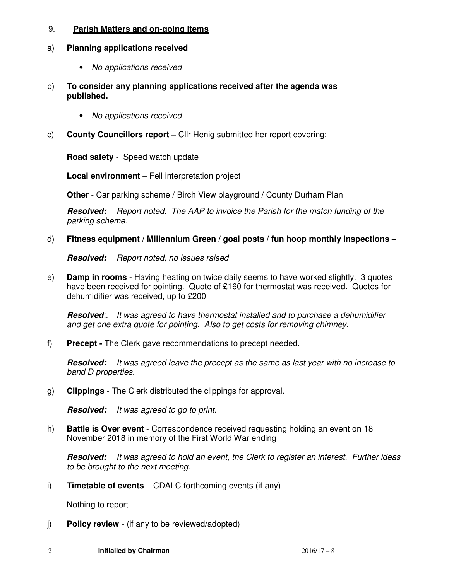### 9. **Parish Matters and on-going items**

## a) **Planning applications received**

- *No applications received*
- b) **To consider any planning applications received after the agenda was published.** 
	- *No applications received*
- c) **County Councillors report** Cllr Henig submitted her report covering:

**Road safety** - Speed watch update

**Local environment** – Fell interpretation project

**Other** - Car parking scheme / Birch View playground / County Durham Plan

**Resolved:** *Report noted. The AAP to invoice the Parish for the match funding of the parking scheme.* 

d) **Fitness equipment / Millennium Green / goal posts / fun hoop monthly inspections –** 

**Resolved:** *Report noted, no issues raised* 

e) **Damp in rooms** - Having heating on twice daily seems to have worked slightly. 3 quotes have been received for pointing. Quote of £160 for thermostat was received. Quotes for dehumidifier was received, up to £200

**Resolved***:. It was agreed to have thermostat installed and to purchase a dehumidifier and get one extra quote for pointing. Also to get costs for removing chimney.* 

f) **Precept -** The Clerk gave recommendations to precept needed.

**Resolved:** *It was agreed leave the precept as the same as last year with no increase to band D properties.* 

g) **Clippings** - The Clerk distributed the clippings for approval.

**Resolved:** *It was agreed to go to print.*

h) **Battle is Over event** - Correspondence received requesting holding an event on 18 November 2018 in memory of the First World War ending

**Resolved:** *It was agreed to hold an event, the Clerk to register an interest. Further ideas to be brought to the next meeting.* 

i) **Timetable of events** – CDALC forthcoming events (if any)

Nothing to report

j) **Policy review** - (if any to be reviewed/adopted)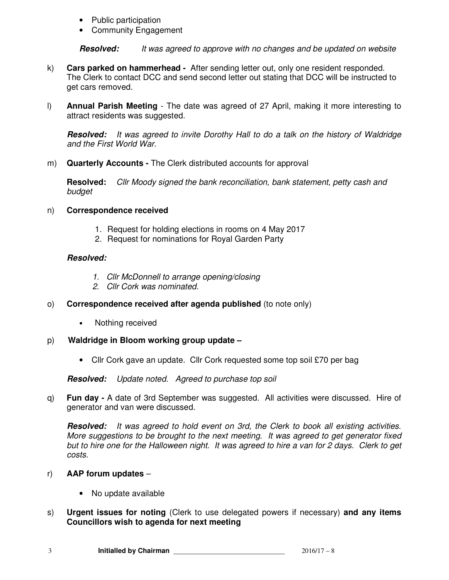- Public participation
- Community Engagement

**Resolved:** *It was agreed to approve with no changes and be updated on website* 

- k) **Cars parked on hammerhead** After sending letter out, only one resident responded. The Clerk to contact DCC and send second letter out stating that DCC will be instructed to get cars removed.
- l) **Annual Parish Meeting** The date was agreed of 27 April, making it more interesting to attract residents was suggested.

**Resolved:** *It was agreed to invite Dorothy Hall to do a talk on the history of Waldridge and the First World War.* 

m) **Quarterly Accounts -** The Clerk distributed accounts for approval

**Resolved:** *Cllr Moody signed the bank reconciliation, bank statement, petty cash and budget*

## n) **Correspondence received**

- 1. Request for holding elections in rooms on 4 May 2017
- 2. Request for nominations for Royal Garden Party

## **Resolved:**

- *1. Cllr McDonnell to arrange opening/closing*
- *2. Cllr Cork was nominated.*
- o) **Correspondence received after agenda published** (to note only)
	- Nothing received
- p) **Waldridge in Bloom working group update** 
	- Cllr Cork gave an update. Cllr Cork requested some top soil £70 per bag

**Resolved:** *Update noted. Agreed to purchase top soil*

q) **Fun day -** A date of 3rd September was suggested. All activities were discussed. Hire of generator and van were discussed.

**Resolved:** *It was agreed to hold event on 3rd, the Clerk to book all existing activities. More suggestions to be brought to the next meeting. It was agreed to get generator fixed but to hire one for the Halloween night. It was agreed to hire a van for 2 days. Clerk to get costs.*

- r) **AAP forum updates** 
	- No update available
- s) **Urgent issues for noting** (Clerk to use delegated powers if necessary) **and any items Councillors wish to agenda for next meeting**